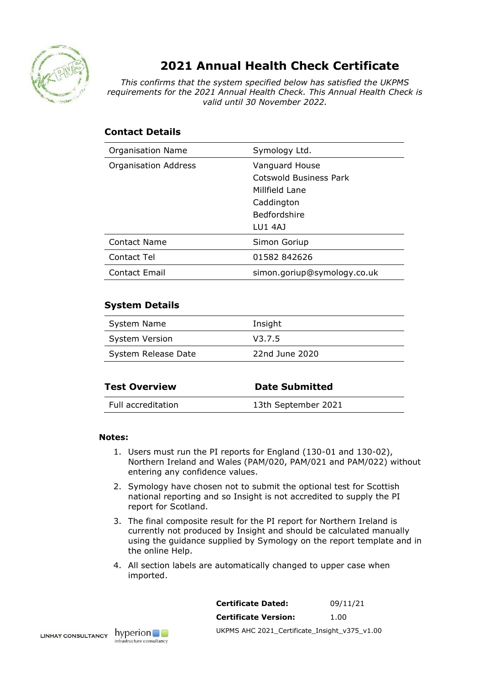

## **2021 Annual Health Check Certificate**

*This confirms that the system specified below has satisfied the UKPMS requirements for the 2021 Annual Health Check. This Annual Health Check is valid until 30 November 2022.*

## **Contact Details**

| <b>Organisation Name</b>    | Symology Ltd.               |
|-----------------------------|-----------------------------|
| <b>Organisation Address</b> | Vanguard House              |
|                             | Cotswold Business Park      |
|                             | Millfield Lane              |
|                             | Caddington                  |
|                             | <b>Bedfordshire</b>         |
|                             | LU1 4A1                     |
| Contact Name                | Simon Goriup                |
| Contact Tel                 | 01582 842626                |
| Contact Email               | simon.goriup@symology.co.uk |

## **System Details**

| System Name           | Insight        |
|-----------------------|----------------|
| <b>System Version</b> | V3.7.5         |
| System Release Date   | 22nd June 2020 |

| <b>Test Overview</b> | <b>Date Submitted</b> |
|----------------------|-----------------------|
| Full accreditation   | 13th September 2021   |

## **Notes:**

- 1. Users must run the PI reports for England (130-01 and 130-02), Northern Ireland and Wales (PAM/020, PAM/021 and PAM/022) without entering any confidence values.
- 2. Symology have chosen not to submit the optional test for Scottish national reporting and so Insight is not accredited to supply the PI report for Scotland.
- 3. The final composite result for the PI report for Northern Ireland is currently not produced by Insight and should be calculated manually using the guidance supplied by Symology on the report template and in the online Help.
- 4. All section labels are automatically changed to upper case when imported.

| <b>Certificate Dated:</b>                     | 09/11/21 |
|-----------------------------------------------|----------|
| <b>Certificate Version:</b>                   | 1.00     |
| UKPMS AHC 2021 Certificate Insight v375 v1.00 |          |